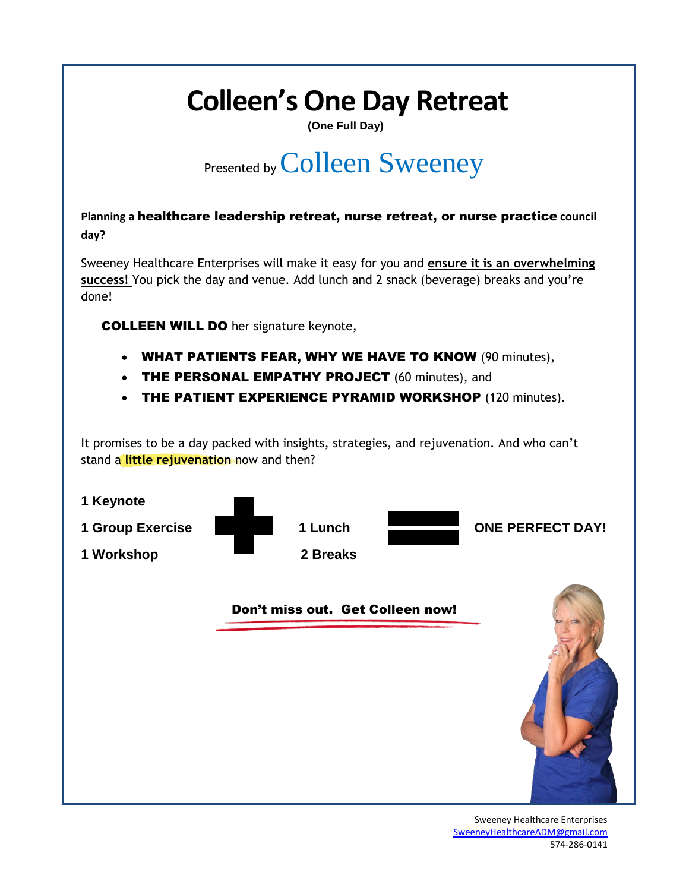# **Colleen's One Day Retreat**

**(One Full Day)**

# Presented by Colleen Sweeney

**Planning a** healthcare leadership retreat, nurse retreat, or nurse practice **council day?** 

Sweeney Healthcare Enterprises will make it easy for you and **ensure it is an overwhelming success!** You pick the day and venue. Add lunch and 2 snack (beverage) breaks and you're done!

COLLEEN WILL DO her signature keynote,

- WHAT PATIENTS FEAR, WHY WE HAVE TO KNOW (90 minutes),
- THE PERSONAL EMPATHY PROJECT (60 minutes), and
- THE PATIENT EXPERIENCE PYRAMID WORKSHOP (120 minutes).

It promises to be a day packed with insights, strategies, and rejuvenation. And who can't stand a **little rejuvenation** now and then?



Sweeney Healthcare Enterprises [SweeneyHealthcareADM@gmail.com](mailto:SweeneyHealthcareADM@gmail.com) 574-286-0141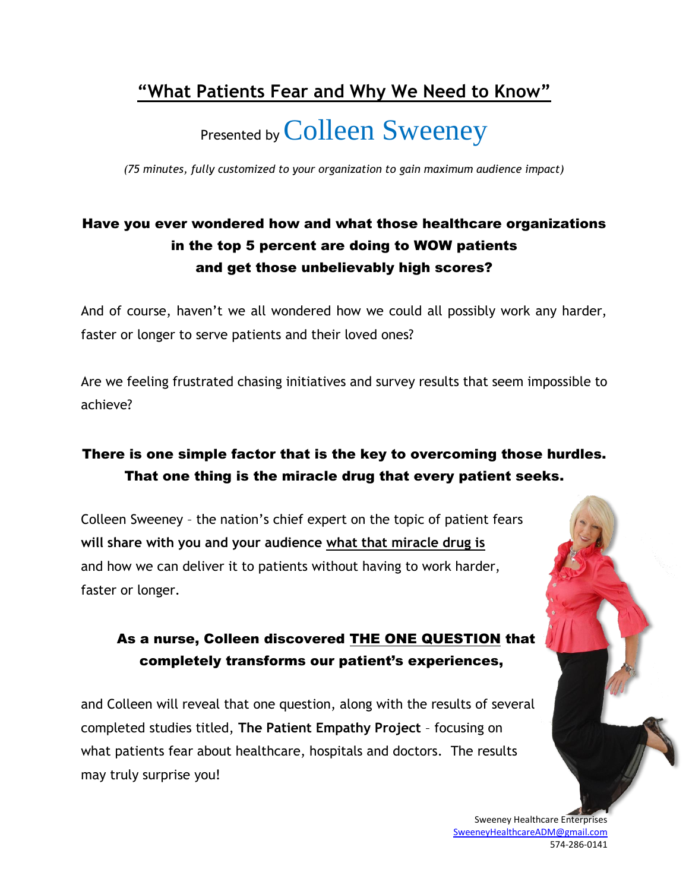## **"What Patients Fear and Why We Need to Know"**

# Presented by Colleen Sweeney

*(75 minutes, fully customized to your organization to gain maximum audience impact)*

## Have you ever wondered how and what those healthcare organizations in the top 5 percent are doing to WOW patients and get those unbelievably high scores?

And of course, haven't we all wondered how we could all possibly work any harder, faster or longer to serve patients and their loved ones?

Are we feeling frustrated chasing initiatives and survey results that seem impossible to achieve?

## There is one simple factor that is the key to overcoming those hurdles. That one thing is the miracle drug that every patient seeks.

Colleen Sweeney – the nation's chief expert on the topic of patient fears **will share with you and your audience what that miracle drug is** and how we can deliver it to patients without having to work harder, faster or longer.

### As a nurse, Colleen discovered THE ONE QUESTION that completely transforms our patient's experiences,

and Colleen will reveal that one question, along with the results of several completed studies titled, **The Patient Empathy Project** – focusing on what patients fear about healthcare, hospitals and doctors. The results may truly surprise you!

> Sweeney Healthcare Enterprises [SweeneyHealthcareADM@gmail.com](mailto:SweeneyHealthcareADM@gmail.com) 574-286-0141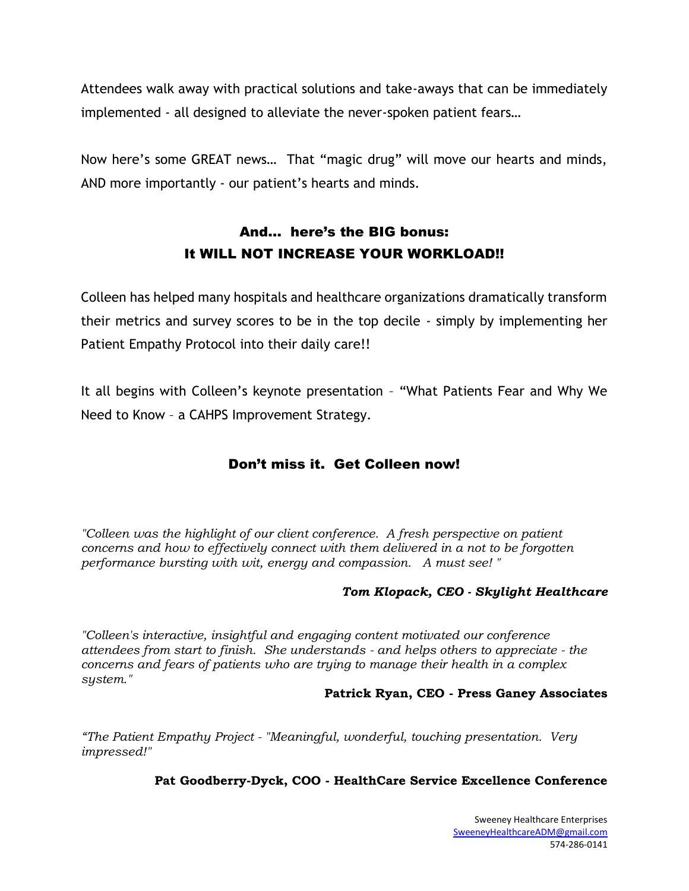Attendees walk away with practical solutions and take-aways that can be immediately implemented - all designed to alleviate the never-spoken patient fears…

Now here's some GREAT news… That "magic drug" will move our hearts and minds, AND more importantly - our patient's hearts and minds.

## And… here's the BIG bonus: It WILL NOT INCREASE YOUR WORKLOAD!!

Colleen has helped many hospitals and healthcare organizations dramatically transform their metrics and survey scores to be in the top decile - simply by implementing her Patient Empathy Protocol into their daily care!!

It all begins with Colleen's keynote presentation – "What Patients Fear and Why We Need to Know – a CAHPS Improvement Strategy.

#### Don't miss it. Get Colleen now!

*"Colleen was the highlight of our client conference. A fresh perspective on patient concerns and how to effectively connect with them delivered in a not to be forgotten performance bursting with wit, energy and compassion. A must see! "*

#### *Tom Klopack, CEO - Skylight Healthcare*

*"Colleen's interactive, insightful and engaging content motivated our conference attendees from start to finish. She understands - and helps others to appreciate - the concerns and fears of patients who are trying to manage their health in a complex system."*

#### **Patrick Ryan, CEO - Press Ganey Associates**

*"The Patient Empathy Project - "Meaningful, wonderful, touching presentation. Very impressed!"*

#### **Pat Goodberry-Dyck, COO - HealthCare Service Excellence Conference**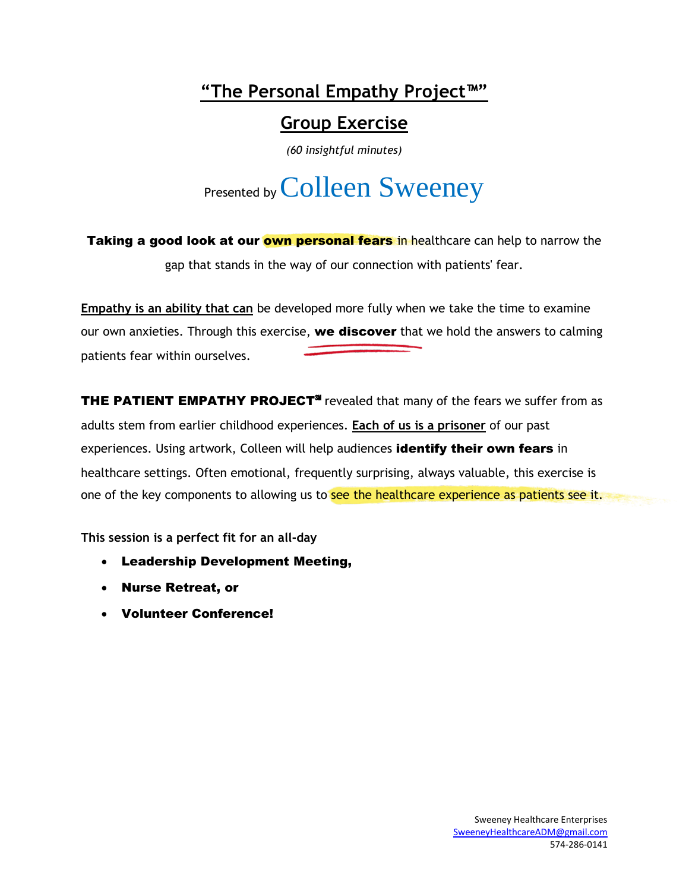## **"The Personal Empathy Project™"**

# **Group Exercise**

*(60 insightful minutes)*

# Presented by Colleen Sweeney

Taking a good look at our **own personal fears** in healthcare can help to narrow the gap that stands in the way of our connection with patients' fear.

**Empathy is an ability that can** be developed more fully when we take the time to examine our own anxieties. Through this exercise, we discover that we hold the answers to calming patients fear within ourselves.

THE PATIENT EMPATHY PROJECT<sup>SM</sup> revealed that many of the fears we suffer from as adults stem from earlier childhood experiences. **Each of us is a prisoner** of our past experiences. Using artwork, Colleen will help audiences identify their own fears in healthcare settings. Often emotional, frequently surprising, always valuable, this exercise is one of the key components to allowing us to see the healthcare experience as patients see it.

**This session is a perfect fit for an all-day** 

- Leadership Development Meeting,
- Nurse Retreat, or
- Volunteer Conference!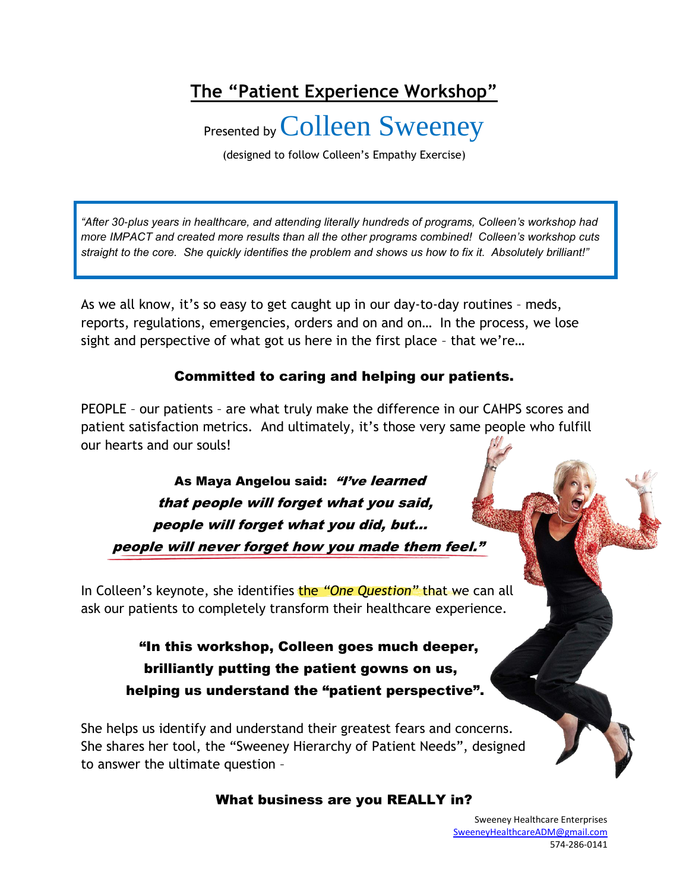# **The "Patient Experience Workshop"**

Presented by Colleen Sweeney

(designed to follow Colleen's Empathy Exercise)

*"After 30-plus years in healthcare, and attending literally hundreds of programs, Colleen's workshop had more IMPACT and created more results than all the other programs combined! Colleen's workshop cuts straight to the core. She quickly identifies the problem and shows us how to fix it. Absolutely brilliant!"*

As we all know, it's so easy to get caught up in our day-to-day routines – meds, reports, regulations, emergencies, orders and on and on… In the process, we lose sight and perspective of what got us here in the first place – that we're…

#### Committed to caring and helping our patients.

PEOPLE – our patients – are what truly make the difference in our CAHPS scores and patient satisfaction metrics. And ultimately, it's those very same people who fulfill our hearts and our souls!

As Maya Angelou said: "I've learned that people will forget what you said, people will forget what you did, but… people will never forget how you made them feel."

In Colleen's keynote, she identifies the *"One Question"* that we can all ask our patients to completely transform their healthcare experience.

> "In this workshop, Colleen goes much deeper, brilliantly putting the patient gowns on us, helping us understand the "patient perspective".

She helps us identify and understand their greatest fears and concerns. She shares her tool, the "Sweeney Hierarchy of Patient Needs", designed to answer the ultimate question –

#### What business are you REALLY in?

Sweeney Healthcare Enterprises [SweeneyHealthcareADM@gmail.com](mailto:SweeneyHealthcareADM@gmail.com) 574-286-0141